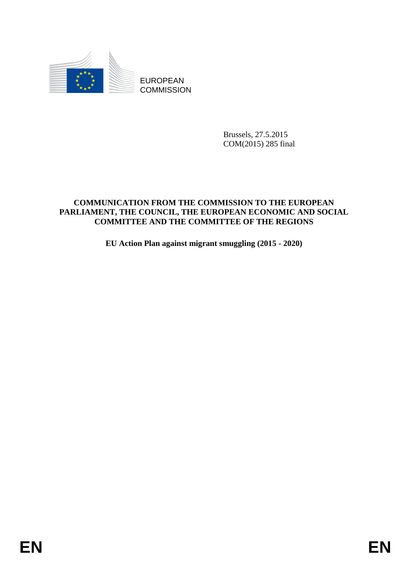

**COMMISSION** 

Brussels, 27.5.2015 COM(2015) 285 final

# EUROPEAN<br>
EUROPEAN<br>
ENGANGEREAN<br>
ENGANGEREAN<br>
COMMUNICATION FROM THE COMMUNISMON TO THE EUROPEAN<br>
COMMUNICATION FROM THE COMMUNICATION ON THE REGION<br>
PARTAMENT, THE COUNCIL, THE EUROPEAN PEONOMIC CAND SOCIAL<br>
COMMUNIES AND **COMMUNICATION FROM THE COMMISSION TO THE EUROPEAN PARLIAMENT, THE COUNCIL, THE EUROPEAN ECONOMIC AND SOCIAL COMMITTEE AND THE COMMITTEE OF THE REGIONS**

**EU Action Plan against migrant smuggling (2015 - 2020)**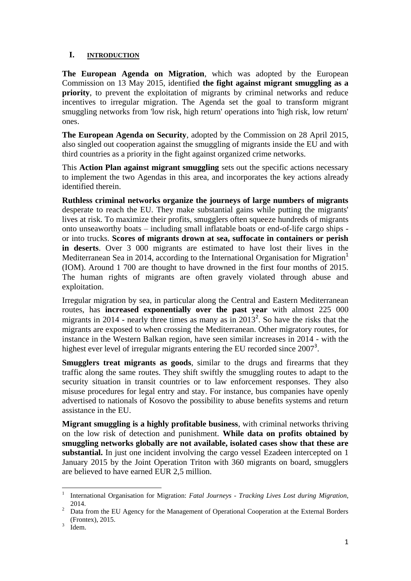# **I. INTRODUCTION**

**The European Agenda on Migration**, which was adopted by the European Commission on 13 May 2015, identified **the fight against migrant smuggling as a priority**, to prevent the exploitation of migrants by criminal networks and reduce incentives to irregular migration. The Agenda set the goal to transform migrant smuggling networks from 'low risk, high return' operations into 'high risk, low return' ones.

**The European Agenda on Security**, adopted by the Commission on 28 April 2015, also singled out cooperation against the smuggling of migrants inside the EU and with third countries as a priority in the fight against organized crime networks.

This **Action Plan against migrant smuggling** sets out the specific actions necessary to implement the two Agendas in this area, and incorporates the key actions already identified therein.

**Ruthless criminal networks organize the journeys of large numbers of migrants** desperate to reach the EU. They make substantial gains while putting the migrants' lives at risk. To maximize their profits, smugglers often squeeze hundreds of migrants onto unseaworthy boats – including small inflatable boats or end-of-life cargo ships or into trucks. **Scores of migrants drown at sea, suffocate in containers or perish in deserts**. Over 3 000 migrants are estimated to have lost their lives in the Mediterranean Sea in 2014, according to the International Organisation for Migration<sup>1</sup> (IOM). Around 1 700 are thought to have drowned in the first four months of 2015. The human rights of migrants are often gravely violated through abuse and exploitation.

Irregular migration by sea, in particular along the Central and Eastern Mediterranean routes, has **increased exponentially over the past year** with almost 225 000 migrants in 2014 - nearly three times as many as in  $2013^2$ . So have the risks that the migrants are exposed to when crossing the Mediterranean. Other migratory routes, for instance in the Western Balkan region, have seen similar increases in 2014 - with the highest ever level of irregular migrants entering the EU recorded since  $2007<sup>3</sup>$ .

**Smugglers treat migrants as goods**, similar to the drugs and firearms that they traffic along the same routes. They shift swiftly the smuggling routes to adapt to the security situation in transit countries or to law enforcement responses. They also misuse procedures for legal entry and stay. For instance, bus companies have openly advertised to nationals of Kosovo the possibility to abuse benefits systems and return assistance in the EU.

**Migrant smuggling is a highly profitable business**, with criminal networks thriving on the low risk of detection and punishment. **While data on profits obtained by smuggling networks globally are not available, isolated cases show that these are substantial.** In just one incident involving the cargo vessel Ezadeen intercepted on 1 January 2015 by the Joint Operation Triton with 360 migrants on board, smugglers are believed to have earned EUR 2,5 million.

 $\frac{1}{1}$ International Organisation for Migration: *Fatal Journeys - Tracking Lives Lost during Migration*, 2014.

<sup>&</sup>lt;sup>2</sup> Data from the EU Agency for the Management of Operational Cooperation at the External Borders (Frontex), 2015.

<sup>3</sup> Idem.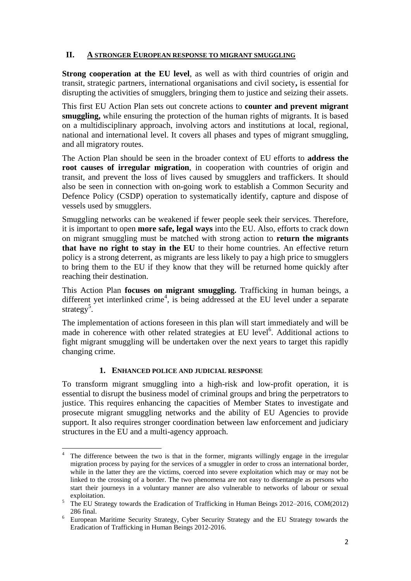# **II. A STRONGER EUROPEAN RESPONSE TO MIGRANT SMUGGLING**

**Strong cooperation at the EU level, as well as with third countries of origin and** transit, strategic partners, international organisations and civil society**,** is essential for disrupting the activities of smugglers, bringing them to justice and seizing their assets.

This first EU Action Plan sets out concrete actions to **counter and prevent migrant smuggling,** while ensuring the protection of the human rights of migrants. It is based on a multidisciplinary approach, involving actors and institutions at local, regional, national and international level. It covers all phases and types of migrant smuggling, and all migratory routes.

The Action Plan should be seen in the broader context of EU efforts to **address the root causes of irregular migration**, in cooperation with countries of origin and transit, and prevent the loss of lives caused by smugglers and traffickers. It should also be seen in connection with on-going work to establish a Common Security and Defence Policy (CSDP) operation to systematically identify, capture and dispose of vessels used by smugglers.

Smuggling networks can be weakened if fewer people seek their services. Therefore, it is important to open **more safe, legal ways** into the EU. Also, efforts to crack down on migrant smuggling must be matched with strong action to **return the migrants that have no right to stay in the EU** to their home countries. An effective return policy is a strong deterrent, as migrants are less likely to pay a high price to smugglers to bring them to the EU if they know that they will be returned home quickly after reaching their destination.

This Action Plan **focuses on migrant smuggling.** Trafficking in human beings, a different yet interlinked crime<sup>4</sup>, is being addressed at the EU level under a separate strategy<sup>5</sup>.

The implementation of actions foreseen in this plan will start immediately and will be made in coherence with other related strategies at EU level<sup>6</sup>. Additional actions to fight migrant smuggling will be undertaken over the next years to target this rapidly changing crime.

# **1. ENHANCED POLICE AND JUDICIAL RESPONSE**

**.** 

To transform migrant smuggling into a high-risk and low-profit operation, it is essential to disrupt the business model of criminal groups and bring the perpetrators to justice. This requires enhancing the capacities of Member States to investigate and prosecute migrant smuggling networks and the ability of EU Agencies to provide support. It also requires stronger coordination between law enforcement and judiciary structures in the EU and a multi-agency approach.

The difference between the two is that in the former, migrants willingly engage in the irregular migration process by paying for the services of a smuggler in order to cross an international border, while in the latter they are the victims, coerced into severe exploitation which may or may not be linked to the crossing of a border. The two phenomena are not easy to disentangle as persons who start their journeys in a voluntary manner are also vulnerable to networks of labour or sexual exploitation.

<sup>&</sup>lt;sup>5</sup> The EU Strategy towards the Eradication of Trafficking in Human Beings 2012–2016, COM(2012) 286 final.

<sup>6</sup> European Maritime Security Strategy, Cyber Security Strategy and the EU Strategy towards the Eradication of Trafficking in Human Beings 2012-2016.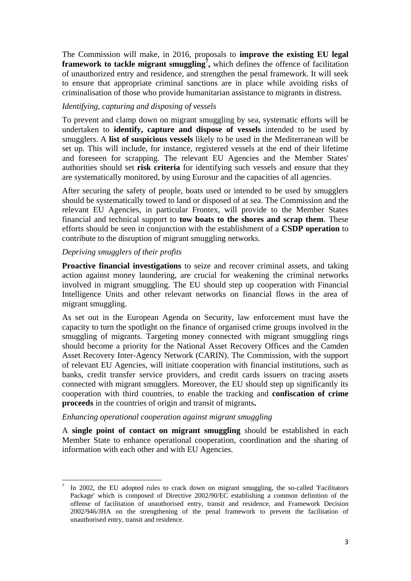The Commission will make, in 2016, proposals to **improve the existing EU legal framework to tackle migrant smuggling<sup>7</sup> ,** which defines the offence of facilitation of unauthorized entry and residence, and strengthen the penal framework. It will seek to ensure that appropriate criminal sanctions are in place while avoiding risks of criminalisation of those who provide humanitarian assistance to migrants in distress.

# *Identifying, capturing and disposing of vessels*

To prevent and clamp down on migrant smuggling by sea, systematic efforts will be undertaken to **identify, capture and dispose of vessels** intended to be used by smugglers. A **list of suspicious vessels** likely to be used in the Mediterranean will be set up. This will include, for instance, registered vessels at the end of their lifetime and foreseen for scrapping. The relevant EU Agencies and the Member States' authorities should set **risk criteria** for identifying such vessels and ensure that they are systematically monitored, by using Eurosur and the capacities of all agencies.

After securing the safety of people, boats used or intended to be used by smugglers should be systematically towed to land or disposed of at sea. The Commission and the relevant EU Agencies, in particular Frontex, will provide to the Member States financial and technical support to **tow boats to the shores and scrap them**. These efforts should be seen in conjunction with the establishment of a **CSDP operation** to contribute to the disruption of migrant smuggling networks.

## *Depriving smugglers of their profits*

**Proactive financial investigations** to seize and recover criminal assets, and taking action against money laundering, are crucial for weakening the criminal networks involved in migrant smuggling. The EU should step up cooperation with Financial Intelligence Units and other relevant networks on financial flows in the area of migrant smuggling.

As set out in the European Agenda on Security, law enforcement must have the capacity to turn the spotlight on the finance of organised crime groups involved in the smuggling of migrants. Targeting money connected with migrant smuggling rings should become a priority for the National Asset Recovery Offices and the Camden Asset Recovery Inter-Agency Network (CARIN). The Commission, with the support of relevant EU Agencies, will initiate cooperation with financial institutions, such as banks, credit transfer service providers, and credit cards issuers on tracing assets connected with migrant smugglers. Moreover, the EU should step up significantly its cooperation with third countries, to enable the tracking and **confiscation of crime proceeds** in the countries of origin and transit of migrants**.**

### *Enhancing operational cooperation against migrant smuggling*

A **single point of contact on migrant smuggling** should be established in each Member State to enhance operational cooperation, coordination and the sharing of information with each other and with EU Agencies.

**<sup>.</sup>** 7 In 2002, the EU adopted rules to crack down on migrant smuggling, the so-called 'Facilitators Package' which is composed of Directive 2002/90/EC establishing a common definition of the offense of facilitation of unauthorised entry, transit and residence, and Framework Decision 2002/946/JHA on the strengthening of the penal framework to prevent the facilitation of unauthorised entry, transit and residence.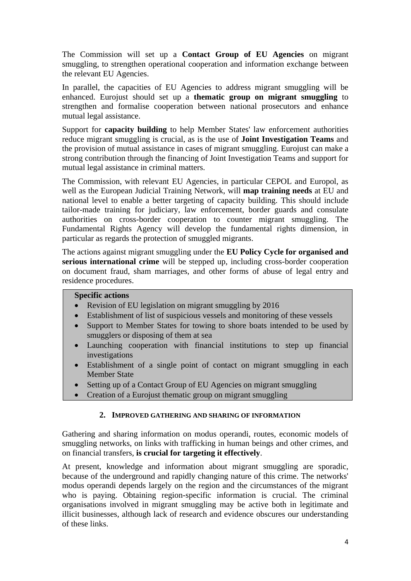The Commission will set up a **Contact Group of EU Agencies** on migrant smuggling, to strengthen operational cooperation and information exchange between the relevant EU Agencies.

In parallel, the capacities of EU Agencies to address migrant smuggling will be enhanced. Eurojust should set up a **thematic group on migrant smuggling** to strengthen and formalise cooperation between national prosecutors and enhance mutual legal assistance.

Support for **capacity building** to help Member States' law enforcement authorities reduce migrant smuggling is crucial, as is the use of **Joint Investigation Teams** and the provision of mutual assistance in cases of migrant smuggling. Eurojust can make a strong contribution through the financing of Joint Investigation Teams and support for mutual legal assistance in criminal matters.

The Commission, with relevant EU Agencies, in particular CEPOL and Europol, as well as the European Judicial Training Network, will **map training needs** at EU and national level to enable a better targeting of capacity building. This should include tailor-made training for judiciary, law enforcement, border guards and consulate authorities on cross-border cooperation to counter migrant smuggling. The Fundamental Rights Agency will develop the fundamental rights dimension, in particular as regards the protection of smuggled migrants.

The actions against migrant smuggling under the **EU Policy Cycle for organised and serious international crime** will be stepped up, including cross-border cooperation on document fraud, sham marriages, and other forms of abuse of legal entry and residence procedures.

### **Specific actions**

- Revision of EU legislation on migrant smuggling by 2016
- Establishment of list of suspicious vessels and monitoring of these vessels
- Support to Member States for towing to shore boats intended to be used by smugglers or disposing of them at sea
- Launching cooperation with financial institutions to step up financial investigations
- Establishment of a single point of contact on migrant smuggling in each Member State
- Setting up of a Contact Group of EU Agencies on migrant smuggling
- Creation of a Eurojust thematic group on migrant smuggling

## **2. IMPROVED GATHERING AND SHARING OF INFORMATION**

Gathering and sharing information on modus operandi, routes, economic models of smuggling networks, on links with trafficking in human beings and other crimes, and on financial transfers, **is crucial for targeting it effectively**.

At present, knowledge and information about migrant smuggling are sporadic, because of the underground and rapidly changing nature of this crime. The networks' modus operandi depends largely on the region and the circumstances of the migrant who is paying. Obtaining region-specific information is crucial. The criminal organisations involved in migrant smuggling may be active both in legitimate and illicit businesses, although lack of research and evidence obscures our understanding of these links.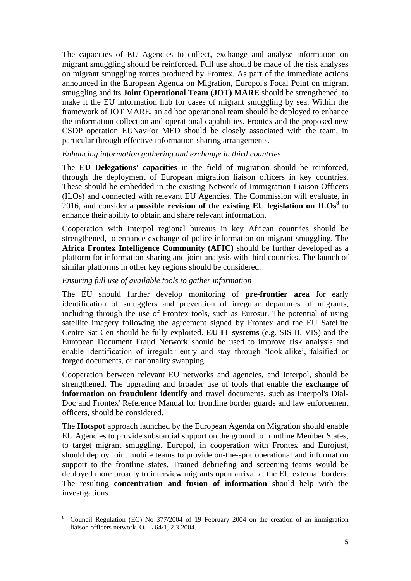The capacities of EU Agencies to collect, exchange and analyse information on migrant smuggling should be reinforced. Full use should be made of the risk analyses on migrant smuggling routes produced by Frontex. As part of the immediate actions announced in the European Agenda on Migration, Europol's Focal Point on migrant smuggling and its **Joint Operational Team (JOT) MARE** should be strengthened, to make it the EU information hub for cases of migrant smuggling by sea. Within the framework of JOT MARE, an ad hoc operational team should be deployed to enhance the information collection and operational capabilities. Frontex and the proposed new CSDP operation EUNavFor MED should be closely associated with the team, in particular through effective information-sharing arrangements.

### *Enhancing information gathering and exchange in third countries*

The **EU Delegations' capacities** in the field of migration should be reinforced, through the deployment of European migration liaison officers in key countries. These should be embedded in the existing Network of Immigration Liaison Officers (ILOs) and connected with relevant EU Agencies. The Commission will evaluate, in 2016, and consider a **possible revision of the existing EU legislation on**  $I\text{LOs}^8$  to enhance their ability to obtain and share relevant information.

Cooperation with Interpol regional bureaus in key African countries should be strengthened, to enhance exchange of police information on migrant smuggling. The **Africa Frontex Intelligence Community (AFIC)** should be further developed as a platform for information-sharing and joint analysis with third countries. The launch of similar platforms in other key regions should be considered.

# *Ensuring full use of available tools to gather information*

The EU should further develop monitoring of **pre-frontier area** for early identification of smugglers and prevention of irregular departures of migrants, including through the use of Frontex tools, such as Eurosur. The potential of using satellite imagery following the agreement signed by Frontex and the EU Satellite Centre Sat Cen should be fully exploited. **EU IT systems** (e.g. SIS II, VIS) and the European Document Fraud Network should be used to improve risk analysis and enable identification of irregular entry and stay through 'look-alike', falsified or forged documents, or nationality swapping.

Cooperation between relevant EU networks and agencies, and Interpol, should be strengthened. The upgrading and broader use of tools that enable the **exchange of information on fraudulent identify** and travel documents, such as Interpol's Dial-Doc and Frontex' Reference Manual for frontline border guards and law enforcement officers, should be considered.

The **Hotspot** approach launched by the European Agenda on Migration should enable EU Agencies to provide substantial support on the ground to frontline Member States, to target migrant smuggling. Europol, in cooperation with Frontex and Eurojust, should deploy joint mobile teams to provide on-the-spot operational and information support to the frontline states. Trained debriefing and screening teams would be deployed more broadly to interview migrants upon arrival at the EU external borders. The resulting **concentration and fusion of information** should help with the investigations.

 $\,$  8  $\,$ <sup>8</sup> Council Regulation (EC) No 377/2004 of 19 February 2004 on the creation of an immigration liaison officers network. OJ L 64/1, 2.3.2004.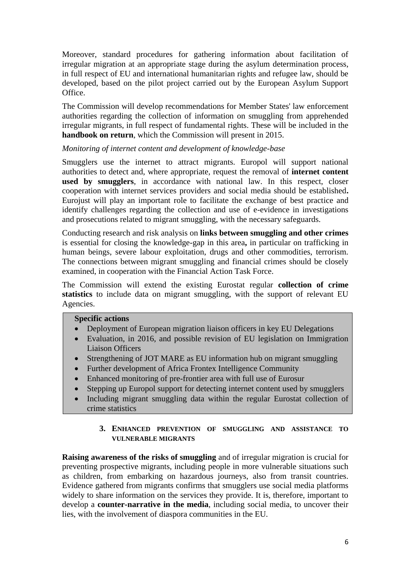Moreover, standard procedures for gathering information about facilitation of irregular migration at an appropriate stage during the asylum determination process, in full respect of EU and international humanitarian rights and refugee law, should be developed, based on the pilot project carried out by the European Asylum Support Office.

The Commission will develop recommendations for Member States' law enforcement authorities regarding the collection of information on smuggling from apprehended irregular migrants, in full respect of fundamental rights. These will be included in the **handbook on return**, which the Commission will present in 2015.

## *Monitoring of internet content and development of knowledge-base*

Smugglers use the internet to attract migrants. Europol will support national authorities to detect and, where appropriate, request the removal of **internet content used by smugglers**, in accordance with national law. In this respect, closer cooperation with internet services providers and social media should be established**.** Eurojust will play an important role to facilitate the exchange of best practice and identify challenges regarding the collection and use of e-evidence in investigations and prosecutions related to migrant smuggling, with the necessary safeguards.

Conducting research and risk analysis on **links between smuggling and other crimes** is essential for closing the knowledge-gap in this area**,** in particular on trafficking in human beings, severe labour exploitation, drugs and other commodities, terrorism. The connections between migrant smuggling and financial crimes should be closely examined, in cooperation with the Financial Action Task Force.

The Commission will extend the existing Eurostat regular **collection of crime statistics** to include data on migrant smuggling, with the support of relevant EU Agencies.

### **Specific actions**

- Deployment of European migration liaison officers in key EU Delegations
- Evaluation, in 2016, and possible revision of EU legislation on Immigration Liaison Officers
- Strengthening of JOT MARE as EU information hub on migrant smuggling
- Further development of Africa Frontex Intelligence Community
- Enhanced monitoring of pre-frontier area with full use of Eurosur
- Stepping up Europol support for detecting internet content used by smugglers
- Including migrant smuggling data within the regular Eurostat collection of crime statistics

### **3. ENHANCED PREVENTION OF SMUGGLING AND ASSISTANCE TO VULNERABLE MIGRANTS**

**Raising awareness of the risks of smuggling** and of irregular migration is crucial for preventing prospective migrants, including people in more vulnerable situations such as children, from embarking on hazardous journeys, also from transit countries. Evidence gathered from migrants confirms that smugglers use social media platforms widely to share information on the services they provide. It is, therefore, important to develop a **counter-narrative in the media**, including social media, to uncover their lies, with the involvement of diaspora communities in the EU.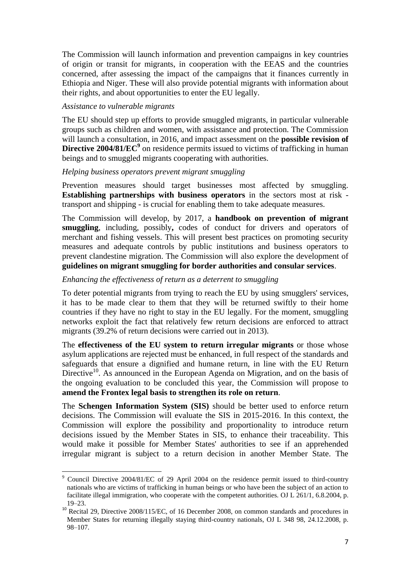The Commission will launch information and prevention campaigns in key countries of origin or transit for migrants, in cooperation with the EEAS and the countries concerned, after assessing the impact of the campaigns that it finances currently in Ethiopia and Niger. These will also provide potential migrants with information about their rights, and about opportunities to enter the EU legally.

### *Assistance to vulnerable migrants*

**.** 

The EU should step up efforts to provide smuggled migrants, in particular vulnerable groups such as children and women, with assistance and protection. The Commission will launch a consultation, in 2016, and impact assessment on the **possible revision of**  Directive 2004/81/EC<sup>9</sup> on residence permits issued to victims of trafficking in human beings and to smuggled migrants cooperating with authorities.

## *Helping business operators prevent migrant smuggling*

Prevention measures should target businesses most affected by smuggling. **Establishing partnerships with business operators** in the sectors most at risk transport and shipping - is crucial for enabling them to take adequate measures.

The Commission will develop, by 2017, a **handbook on prevention of migrant smuggling**, including, possibly**,** codes of conduct for drivers and operators of merchant and fishing vessels. This will present best practices on promoting security measures and adequate controls by public institutions and business operators to prevent clandestine migration. The Commission will also explore the development of **guidelines on migrant smuggling for border authorities and consular services**.

## *Enhancing the effectiveness of return as a deterrent to smuggling*

To deter potential migrants from trying to reach the EU by using smugglers' services, it has to be made clear to them that they will be returned swiftly to their home countries if they have no right to stay in the EU legally. For the moment, smuggling networks exploit the fact that relatively few return decisions are enforced to attract migrants (39.2% of return decisions were carried out in 2013).

The **effectiveness of the EU system to return irregular migrants** or those whose asylum applications are rejected must be enhanced, in full respect of the standards and safeguards that ensure a dignified and humane return, in line with the EU Return Directive<sup>10</sup>. As announced in the European Agenda on Migration, and on the basis of the ongoing evaluation to be concluded this year, the Commission will propose to **amend the Frontex legal basis to strengthen its role on return**.

The **Schengen Information System (SIS)** should be better used to enforce return decisions. The Commission will evaluate the SIS in 2015-2016. In this context, the Commission will explore the possibility and proportionality to introduce return decisions issued by the Member States in SIS, to enhance their traceability. This would make it possible for Member States' authorities to see if an apprehended irregular migrant is subject to a return decision in another Member State. The

<sup>9</sup> Council Directive 2004/81/EC of 29 April 2004 on the residence permit issued to third-country nationals who are victims of trafficking in human beings or who have been the subject of an action to facilitate illegal immigration, who cooperate with the competent authorities. OJ L 261/1, 6.8.2004, p. 19–23.

<sup>&</sup>lt;sup>10</sup> Recital 29, Directive 2008/115/EC, of 16 December 2008, on common standards and procedures in Member States for returning illegally staying third-country nationals, OJ L 348 98, 24.12.2008, p. 98–107.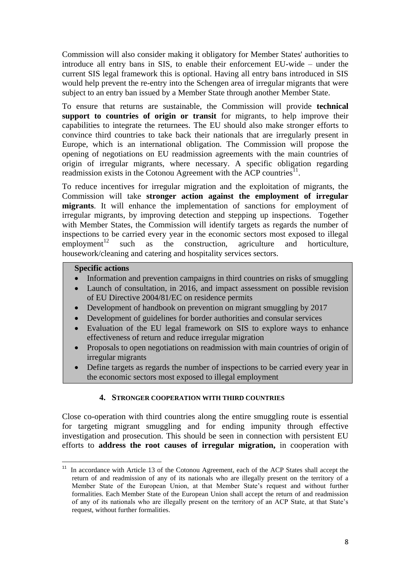Commission will also consider making it obligatory for Member States' authorities to introduce all entry bans in SIS, to enable their enforcement EU-wide – under the current SIS legal framework this is optional. Having all entry bans introduced in SIS would help prevent the re-entry into the Schengen area of irregular migrants that were subject to an entry ban issued by a Member State through another Member State.

To ensure that returns are sustainable, the Commission will provide **technical support to countries of origin or transit** for migrants, to help improve their capabilities to integrate the returnees. The EU should also make stronger efforts to convince third countries to take back their nationals that are irregularly present in Europe, which is an international obligation. The Commission will propose the opening of negotiations on EU readmission agreements with the main countries of origin of irregular migrants, where necessary. A specific obligation regarding readmission exists in the Cotonou Agreement with the ACP countries<sup>11</sup>.

To reduce incentives for irregular migration and the exploitation of migrants, the Commission will take **stronger action against the employment of irregular migrants**. It will enhance the implementation of sanctions for employment of irregular migrants, by improving detection and stepping up inspections. Together with Member States, the Commission will identify targets as regards the number of inspections to be carried every year in the economic sectors most exposed to illegal employment<sup>12</sup> such as the construction, agriculture and horticulture. such as the construction, agriculture and horticulture, housework/cleaning and catering and hospitality services sectors.

# **Specific actions**

**.** 

- Information and prevention campaigns in third countries on risks of smuggling
- Launch of consultation, in 2016, and impact assessment on possible revision of EU Directive 2004/81/EC on residence permits
- Development of handbook on prevention on migrant smuggling by 2017
- Development of guidelines for border authorities and consular services
- Evaluation of the EU legal framework on SIS to explore ways to enhance effectiveness of return and reduce irregular migration
- Proposals to open negotiations on readmission with main countries of origin of irregular migrants
- Define targets as regards the number of inspections to be carried every year in the economic sectors most exposed to illegal employment

## **4. STRONGER COOPERATION WITH THIRD COUNTRIES**

Close co-operation with third countries along the entire smuggling route is essential for targeting migrant smuggling and for ending impunity through effective investigation and prosecution. This should be seen in connection with persistent EU efforts to **address the root causes of irregular migration,** in cooperation with

 $11$  In accordance with Article 13 of the Cotonou Agreement, each of the ACP States shall accept the return of and readmission of any of its nationals who are illegally present on the territory of a Member State of the European Union, at that Member State's request and without further formalities. Each Member State of the European Union shall accept the return of and readmission of any of its nationals who are illegally present on the territory of an ACP State, at that State's request, without further formalities.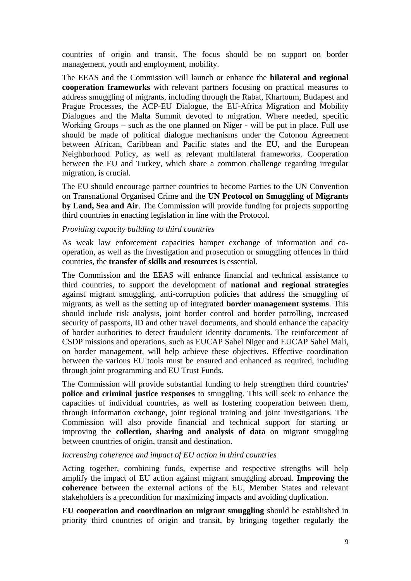countries of origin and transit. The focus should be on support on border management, youth and employment, mobility.

The EEAS and the Commission will launch or enhance the **bilateral and regional cooperation frameworks** with relevant partners focusing on practical measures to address smuggling of migrants, including through the Rabat, Khartoum, Budapest and Prague Processes, the ACP-EU Dialogue, the EU-Africa Migration and Mobility Dialogues and the Malta Summit devoted to migration. Where needed, specific Working Groups – such as the one planned on Niger - will be put in place. Full use should be made of political dialogue mechanisms under the Cotonou Agreement between African, Caribbean and Pacific states and the EU, and the European Neighborhood Policy, as well as relevant multilateral frameworks. Cooperation between the EU and Turkey, which share a common challenge regarding irregular migration, is crucial.

The EU should encourage partner countries to become Parties to the UN Convention on Transnational Organised Crime and the **UN Protocol on Smuggling of Migrants by Land, Sea and Air**. The Commission will provide funding for projects supporting third countries in enacting legislation in line with the Protocol.

### *Providing capacity building to third countries*

As weak law enforcement capacities hamper exchange of information and cooperation, as well as the investigation and prosecution or smuggling offences in third countries, the **transfer of skills and resources** is essential.

The Commission and the EEAS will enhance financial and technical assistance to third countries, to support the development of **national and regional strategies** against migrant smuggling, anti-corruption policies that address the smuggling of migrants, as well as the setting up of integrated **border management systems**. This should include risk analysis, joint border control and border patrolling, increased security of passports, ID and other travel documents, and should enhance the capacity of border authorities to detect fraudulent identity documents. The reinforcement of CSDP missions and operations, such as EUCAP Sahel Niger and EUCAP Sahel Mali, on border management, will help achieve these objectives. Effective coordination between the various EU tools must be ensured and enhanced as required, including through joint programming and EU Trust Funds.

The Commission will provide substantial funding to help strengthen third countries' **police and criminal justice responses** to smuggling. This will seek to enhance the capacities of individual countries, as well as fostering cooperation between them, through information exchange, joint regional training and joint investigations. The Commission will also provide financial and technical support for starting or improving the **collection, sharing and analysis of data** on migrant smuggling between countries of origin, transit and destination.

### *Increasing coherence and impact of EU action in third countries*

Acting together, combining funds, expertise and respective strengths will help amplify the impact of EU action against migrant smuggling abroad. **Improving the coherence** between the external actions of the EU, Member States and relevant stakeholders is a precondition for maximizing impacts and avoiding duplication.

**EU cooperation and coordination on migrant smuggling** should be established in priority third countries of origin and transit, by bringing together regularly the